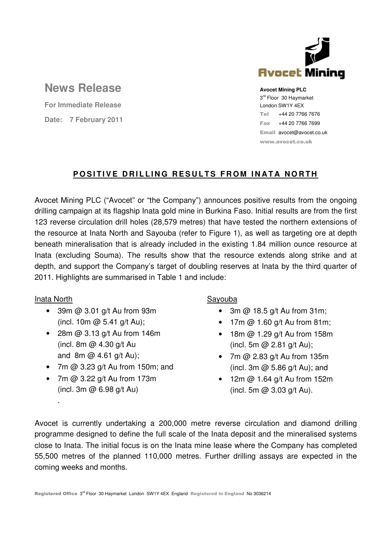

# **News Release**

**For Immediate Release Date: 7 February 2011** **Avocet Mining PLC** 3<sup>rd</sup> Floor 30 Haymarket London SW1Y 4EX Tel +44 20 7766 7676 Fax +44 20 7766 7699 Email avocet@avocet.co.uk www.avocet.co.uk

### **POSITIVE DRILLING RESULTS FROM INATA NORTH**

Avocet Mining PLC ("Avocet" or "the Company") announces positive results from the ongoing drilling campaign at its flagship Inata gold mine in Burkina Faso. Initial results are from the first 123 reverse circulation drill holes (28,579 metres) that have tested the northern extensions of the resource at Inata North and Sayouba (refer to Figure 1), as well as targeting ore at depth beneath mineralisation that is already included in the existing 1.84 million ounce resource at Inata (excluding Souma). The results show that the resource extends along strike and at depth, and support the Company's target of doubling reserves at Inata by the third quarter of 2011. Highlights are summarised in Table 1 and include:

### Inata North

.

- 39m @ 3.01 g/t Au from 93m (incl. 10m  $@$  5.41 g/t Au);
- 28m @ 3.13 g/t Au from 146m (incl. 8m  $\omega$  4.30 g/t Au and  $8m \omega$  4.61 g/t Au);
- 7m  $@$  3.23 g/t Au from 150m; and
- 7m @ 3.22 g/t Au from 173m (incl. 3m @ 6.98 g/t Au)

### Sayouba

- 3m  $@$  18.5 g/t Au from 31m;
- $\bullet$  17m @ 1.60 g/t Au from 81m;
- 18m @ 1.29 g/t Au from 158m (incl. 5m @ 2.81 g/t Au);
- 7m @ 2.83 g/t Au from 135m (incl. 3m @ 5.86 g/t Au); and
- 12m @ 1.64 g/t Au from 152m (incl. 5m @ 3.03 g/t Au).

Avocet is currently undertaking a 200,000 metre reverse circulation and diamond drilling programme designed to define the full scale of the Inata deposit and the mineralised systems close to Inata. The initial focus is on the Inata mine lease where the Company has completed 55,500 metres of the planned 110,000 metres. Further drilling assays are expected in the coming weeks and months.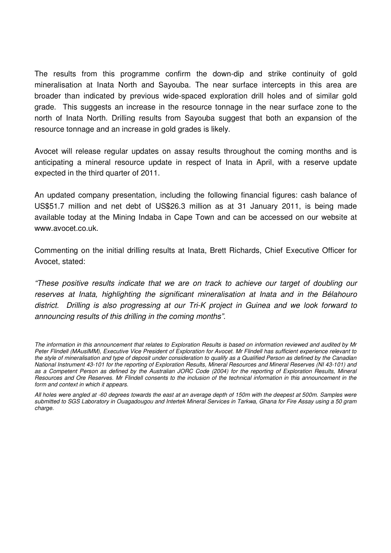The results from this programme confirm the down-dip and strike continuity of gold mineralisation at Inata North and Sayouba. The near surface intercepts in this area are broader than indicated by previous wide-spaced exploration drill holes and of similar gold grade. This suggests an increase in the resource tonnage in the near surface zone to the north of Inata North. Drilling results from Sayouba suggest that both an expansion of the resource tonnage and an increase in gold grades is likely.

Avocet will release regular updates on assay results throughout the coming months and is anticipating a mineral resource update in respect of Inata in April, with a reserve update expected in the third quarter of 2011.

An updated company presentation, including the following financial figures: cash balance of US\$51.7 million and net debt of US\$26.3 million as at 31 January 2011, is being made available today at the Mining Indaba in Cape Town and can be accessed on our website at www.avocet.co.uk.

Commenting on the initial drilling results at Inata, Brett Richards, Chief Executive Officer for Avocet, stated:

"These positive results indicate that we are on track to achieve our target of doubling our reserves at Inata, highlighting the significant mineralisation at Inata and in the Bélahouro district. Drilling is also progressing at our Tri-K project in Guinea and we look forward to announcing results of this drilling in the coming months".

The information in this announcement that relates to Exploration Results is based on information reviewed and audited by Mr Peter Flindell (MAusIMM), Executive Vice President of Exploration for Avocet. Mr Flindell has sufficient experience relevant to the style of mineralisation and type of deposit under consideration to qualify as a Qualified Person as defined by the Canadian National Instrument 43-101 for the reporting of Exploration Results, Mineral Resources and Mineral Reserves (NI 43-101) and as a Competent Person as defined by the Australian JORC Code (2004) for the reporting of Exploration Results, Mineral Resources and Ore Reserves. Mr Flindell consents to the inclusion of the technical information in this announcement in the form and context in which it appears.

All holes were angled at -60 degrees towards the east at an average depth of 150m with the deepest at 500m. Samples were submitted to SGS Laboratory in Ouagadougou and Intertek Mineral Services in Tarkwa. Ghana for Fire Assay using a 50 gram charge.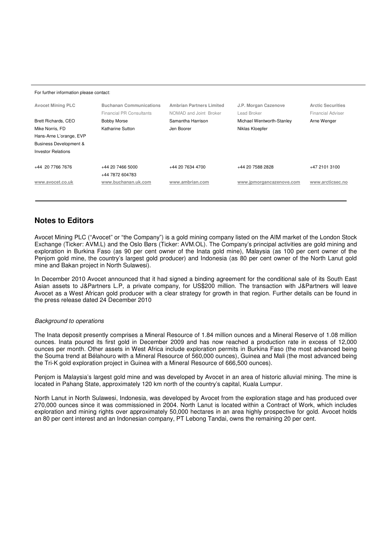#### For further information please contact:

| <b>Avocet Mining PLC</b>          | <b>Buchanan Communications</b><br><b>Financial PR Consultants</b> | <b>Ambrian Partners Limited</b><br>NOMAD and Joint Broker | J.P. Morgan Cazenove<br>Lead Broker | <b>Arctic Securities</b><br><b>Financial Adviser</b> |
|-----------------------------------|-------------------------------------------------------------------|-----------------------------------------------------------|-------------------------------------|------------------------------------------------------|
| Brett Richards, CEO               | <b>Bobby Morse</b>                                                | Samantha Harrison                                         | Michael Wentworth-Stanley           | Arne Wenger                                          |
| Mike Norris, FD                   | Katharine Sutton                                                  | Jen Boorer                                                | Niklas Kloepfer                     |                                                      |
| Hans-Arne L'orange, EVP           |                                                                   |                                                           |                                     |                                                      |
| <b>Business Development &amp;</b> |                                                                   |                                                           |                                     |                                                      |
| <b>Investor Relations</b>         |                                                                   |                                                           |                                     |                                                      |
|                                   |                                                                   |                                                           |                                     |                                                      |
| +44 20 7766 7676                  | +44 20 7466 5000                                                  | +44 20 7634 4700                                          | +44 20 7588 2828                    | +47 2101 3100                                        |
|                                   | +44 7872 604783                                                   |                                                           |                                     |                                                      |
| www.avocet.co.uk                  | www.buchanan.uk.com                                               | www.ambrian.com                                           | www.jpmorgancazenove.com            | www.arcticsec.no                                     |
|                                   |                                                                   |                                                           |                                     |                                                      |

### **Notes to Editors**

Avocet Mining PLC ("Avocet" or "the Company") is a gold mining company listed on the AIM market of the London Stock Exchange (Ticker: AVM.L) and the Oslo Børs (Ticker: AVM.OL). The Company's principal activities are gold mining and exploration in Burkina Faso (as 90 per cent owner of the Inata gold mine), Malaysia (as 100 per cent owner of the Penjom gold mine, the country's largest gold producer) and Indonesia (as 80 per cent owner of the North Lanut gold mine and Bakan project in North Sulawesi).

In December 2010 Avocet announced that it had signed a binding agreement for the conditional sale of its South East Asian assets to J&Partners L.P, a private company, for US\$200 million. The transaction with J&Partners will leave Avocet as a West African gold producer with a clear strategy for growth in that region. Further details can be found in the press release dated 24 December 2010

### Background to operations

The Inata deposit presently comprises a Mineral Resource of 1.84 million ounces and a Mineral Reserve of 1.08 million ounces. Inata poured its first gold in December 2009 and has now reached a production rate in excess of 12,000 ounces per month. Other assets in West Africa include exploration permits in Burkina Faso (the most advanced being the Souma trend at Bélahouro with a Mineral Resource of 560,000 ounces), Guinea and Mali (the most advanced being the Tri-K gold exploration project in Guinea with a Mineral Resource of 666,500 ounces).

Penjom is Malaysia's largest gold mine and was developed by Avocet in an area of historic alluvial mining. The mine is located in Pahang State, approximately 120 km north of the country's capital, Kuala Lumpur.

North Lanut in North Sulawesi, Indonesia, was developed by Avocet from the exploration stage and has produced over 270,000 ounces since it was commissioned in 2004. North Lanut is located within a Contract of Work, which includes exploration and mining rights over approximately 50,000 hectares in an area highly prospective for gold. Avocet holds an 80 per cent interest and an Indonesian company, PT Lebong Tandai, owns the remaining 20 per cent.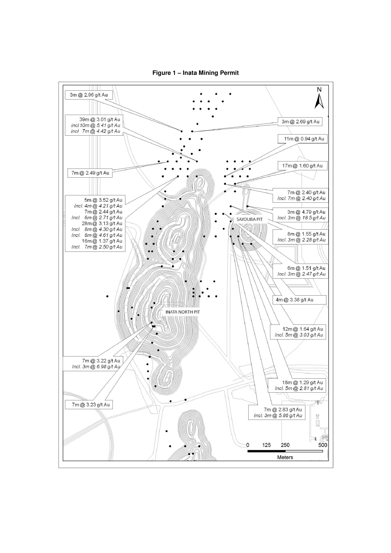

Figure 1 - Inata Mining Permit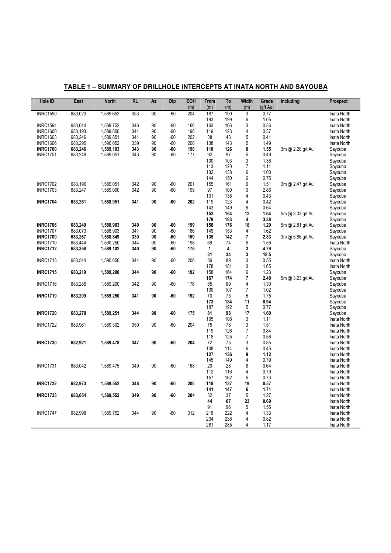| <b>INRC1590</b><br>683,023<br>1,589,652<br>353<br>90<br>$-60$<br>3<br>204<br>187<br>190<br>0.77<br>Inata North<br>6<br>193<br>199<br>1.05<br>Inata North<br>3<br><b>INRC1594</b><br>683,044<br>1,589,752<br>346<br>90<br>$-60$<br>166<br>163<br>166<br>0.56<br>Inata North<br>$\overline{\mathbf{4}}$<br>90<br>$-60$<br>198<br>119<br>123<br>0.37<br><b>INRC1600</b><br>683,193<br>1,589,800<br>341<br>Inata North<br>5<br>90<br>38<br>43<br>0.41<br><b>INRC1603</b><br>683,246<br>1,589,851<br>341<br>$-60$<br>202<br>Inata North<br>143<br>5<br><b>INRC1606</b><br>683,295<br>1,590,052<br>339<br>90<br>$-60$<br>200<br>138<br>1.49<br>Inata North<br>8<br>90<br>-60<br>198<br>126<br>1.55<br><b>INRC1700</b><br>683,246<br>1,589,103<br>343<br>118<br>3m @ 2.28 g/t Au<br>Sayouba<br>5<br>90<br>92<br>97<br>0.49<br><b>INRC1701</b><br>343<br>$-60$<br>177<br>Sayouba<br>683,248<br>1,589,051<br>3<br>100<br>103<br>1.36<br>Sayouba<br>$\overline{7}$<br>113<br>120<br>Sayouba<br>1.11<br>6<br>132<br>138<br>1.00<br>Sayouba<br>$\boldsymbol{6}$<br>144<br>150<br>0.75<br>Sayouba<br>90<br>$-60$<br>6<br><b>INRC1702</b><br>683,196<br>1,589,051<br>342<br>201<br>155<br>161<br>1.51<br>3m @ 2.47 g/t Au<br>Sayouba<br>90<br>3<br><b>INRC1703</b><br>1,589,000<br>342<br>$-60$<br>199<br>97<br>100<br>2.86<br>Sayouba<br>683,247<br>$\overline{\mathbf{4}}$<br>131<br>135<br>0.43<br>Sayouba<br>$\overline{4}$<br>90<br>$-60$<br><b>INRC1704</b><br>683,261<br>1,588,951<br>341<br>202<br>119<br>123<br>0.42<br>Sayouba<br>6<br>143<br>149<br>0.64<br>Sayouba<br>164<br>12<br>1.64<br>152<br>5m @ 3.03 g/t Au<br>Sayouba<br>179<br>4<br>3.38<br>183<br>Sayouba<br><b>INRC1706</b><br>683,249<br>1,588,903<br>340<br>90<br>$-60$<br>199<br>158<br>176<br>18<br>1.29<br>5m @ 2.81 g/t Au<br>Sayouba<br>683,073<br>1,588,903<br>341<br>90<br>$-60$<br>186<br>149<br>153<br>4<br>1.62<br>Sayouba<br><b>INRC1707</b><br>$\overline{7}$<br><b>INRC1709</b><br>683,267<br>1,588,849<br>339<br>90<br>135<br>142<br>2.83<br>Sayouba<br>-60<br>169<br>3m @ 5.86 g/t Au<br>5<br><b>INRC1710</b><br>683,444<br>1,590,250<br>344<br>90<br>$-60$<br>198<br>69<br>74<br>1.56<br>Inata North<br>4<br>$\mathbf{3}$<br>1,589,102<br>340<br>90<br>-60<br>176<br>$\mathbf{1}$<br>4.79<br><b>INRC1712</b><br>683,358<br>Sayouba<br>3<br>34<br>31<br>18.5<br>Sayouba<br>3<br>90<br>$-60$<br>200<br>86<br>89<br><b>INRC1713</b><br>683,544<br>1,590,650<br>344<br>0.55<br>Inata North<br>3<br>178<br>181<br>1.65<br>Inata North<br>6<br>1.23<br><b>INRC1715</b><br>683,219<br>344<br>90<br>$-60$<br>192<br>158<br>164<br>1,589,200<br>Sayouba<br>$\overline{7}$<br>174<br>2.40<br>167<br>5m @ 3.23 g/t Au<br>Sayouba<br>$\overline{4}$<br>89<br>1.30<br><b>INRC1716</b><br>683,286<br>1,589,200<br>342<br>90<br>$-60$<br>176<br>85<br>Sayouba<br>107<br>$\overline{7}$<br>1.02<br>100<br>Sayouba<br>5<br><b>INRC1719</b><br>683,209<br>341<br>90<br>$-60$<br>192<br>70<br>1.75<br>1,589,250<br>75<br>Sayouba<br>184<br>11<br>0.94<br>173<br>Sayouba<br>5<br>187<br>192<br>0.77<br>Sayouba<br>90<br>$-60$<br>17<br><b>INRC1720</b><br>683,278<br>1,589,251<br>344<br>175<br>81<br>98<br>1.60<br>Sayouba<br>3<br>105<br>108<br>Inata North<br>1.11<br>$\mathfrak{z}$<br>$-60$<br>204<br><b>INRC1722</b><br>683,961<br>1,589,302<br>350<br>90<br>75<br>78<br>1.51<br>Inata North<br>$\overline{7}$<br>119<br>126<br>0.84<br>Inata North<br>$\overline{7}$<br>118<br>125<br>0.56<br>Inata North<br>3<br>347<br>90<br>$-60$<br>204<br>72<br>75<br>0.85<br><b>INRC1730</b><br>682,921<br>1,589,478<br>Inata North<br>6<br>114<br>108<br>0.45<br>Inata North<br>9<br>127<br>136<br>1.12<br>Inata North<br>$\overline{4}$<br>145<br>149<br>0.79<br>Inata North<br>90<br>8<br><b>INRC1731</b><br>683,042<br>349<br>$-60$<br>168<br>20<br>28<br>0.64<br>1,589,475<br>Inata North<br>$\overline{4}$<br>112<br>116<br>0.79<br>Inata North<br>5<br>157<br>162<br>0.73<br>Inata North<br>19<br><b>INRC1732</b><br>348<br>90<br>-60<br>200<br>118<br>137<br>0.57<br>682,973<br>1,589,552<br>Inata North<br>6<br>147<br>141<br>1.71<br>Inata North<br>$\mathbf 5$<br><b>INRC1733</b><br>349<br>90<br>$-60$<br>204<br>32<br>37<br>1.27<br>683,054<br>1,589,552<br>Inata North<br>23<br>44<br>67<br>0.69<br>Inata North<br>5<br>91<br>96<br>1.55<br>Inata North<br>218<br>222<br>$\overline{4}$<br>1.33<br><b>INRC1747</b><br>682,998<br>1,589,752<br>344<br>90<br>$-60$<br>312<br>Inata North<br>238<br>$\overline{4}$<br>234<br>0.82<br>Inata North<br>281<br>285<br>$\overline{4}$<br>1.17<br>Inata North | Hole ID | East | <b>North</b> | <b>RL</b> | <b>Az</b> | Dip | EOH<br>(m) | From<br>(m) | To<br>(m) | <b>Width</b><br>(m) | Grade<br>$(g/t \text{ Au})$ | Including | Prospect |
|------------------------------------------------------------------------------------------------------------------------------------------------------------------------------------------------------------------------------------------------------------------------------------------------------------------------------------------------------------------------------------------------------------------------------------------------------------------------------------------------------------------------------------------------------------------------------------------------------------------------------------------------------------------------------------------------------------------------------------------------------------------------------------------------------------------------------------------------------------------------------------------------------------------------------------------------------------------------------------------------------------------------------------------------------------------------------------------------------------------------------------------------------------------------------------------------------------------------------------------------------------------------------------------------------------------------------------------------------------------------------------------------------------------------------------------------------------------------------------------------------------------------------------------------------------------------------------------------------------------------------------------------------------------------------------------------------------------------------------------------------------------------------------------------------------------------------------------------------------------------------------------------------------------------------------------------------------------------------------------------------------------------------------------------------------------------------------------------------------------------------------------------------------------------------------------------------------------------------------------------------------------------------------------------------------------------------------------------------------------------------------------------------------------------------------------------------------------------------------------------------------------------------------------------------------------------------------------------------------------------------------------------------------------------------------------------------------------------------------------------------------------------------------------------------------------------------------------------------------------------------------------------------------------------------------------------------------------------------------------------------------------------------------------------------------------------------------------------------------------------------------------------------------------------------------------------------------------------------------------------------------------------------------------------------------------------------------------------------------------------------------------------------------------------------------------------------------------------------------------------------------------------------------------------------------------------------------------------------------------------------------------------------------------------------------------------------------------------------------------------------------------------------------------------------------------------------------------------------------------------------------------------------------------------------------------------------------------------------------------------------------------------------------------------------------------------------------------------------------------------------------------------------------------------------------------------------------------------------------------------------------------------------------------------------------------------------------------------------------------------------------------------------------------------------------------------------------------------------------------------------------------------------------------------------------------------|---------|------|--------------|-----------|-----------|-----|------------|-------------|-----------|---------------------|-----------------------------|-----------|----------|
|                                                                                                                                                                                                                                                                                                                                                                                                                                                                                                                                                                                                                                                                                                                                                                                                                                                                                                                                                                                                                                                                                                                                                                                                                                                                                                                                                                                                                                                                                                                                                                                                                                                                                                                                                                                                                                                                                                                                                                                                                                                                                                                                                                                                                                                                                                                                                                                                                                                                                                                                                                                                                                                                                                                                                                                                                                                                                                                                                                                                                                                                                                                                                                                                                                                                                                                                                                                                                                                                                                                                                                                                                                                                                                                                                                                                                                                                                                                                                                                                                                                                                                                                                                                                                                                                                                                                                                                                                                                                                                                                                                        |         |      |              |           |           |     |            |             |           |                     |                             |           |          |
|                                                                                                                                                                                                                                                                                                                                                                                                                                                                                                                                                                                                                                                                                                                                                                                                                                                                                                                                                                                                                                                                                                                                                                                                                                                                                                                                                                                                                                                                                                                                                                                                                                                                                                                                                                                                                                                                                                                                                                                                                                                                                                                                                                                                                                                                                                                                                                                                                                                                                                                                                                                                                                                                                                                                                                                                                                                                                                                                                                                                                                                                                                                                                                                                                                                                                                                                                                                                                                                                                                                                                                                                                                                                                                                                                                                                                                                                                                                                                                                                                                                                                                                                                                                                                                                                                                                                                                                                                                                                                                                                                                        |         |      |              |           |           |     |            |             |           |                     |                             |           |          |
|                                                                                                                                                                                                                                                                                                                                                                                                                                                                                                                                                                                                                                                                                                                                                                                                                                                                                                                                                                                                                                                                                                                                                                                                                                                                                                                                                                                                                                                                                                                                                                                                                                                                                                                                                                                                                                                                                                                                                                                                                                                                                                                                                                                                                                                                                                                                                                                                                                                                                                                                                                                                                                                                                                                                                                                                                                                                                                                                                                                                                                                                                                                                                                                                                                                                                                                                                                                                                                                                                                                                                                                                                                                                                                                                                                                                                                                                                                                                                                                                                                                                                                                                                                                                                                                                                                                                                                                                                                                                                                                                                                        |         |      |              |           |           |     |            |             |           |                     |                             |           |          |
|                                                                                                                                                                                                                                                                                                                                                                                                                                                                                                                                                                                                                                                                                                                                                                                                                                                                                                                                                                                                                                                                                                                                                                                                                                                                                                                                                                                                                                                                                                                                                                                                                                                                                                                                                                                                                                                                                                                                                                                                                                                                                                                                                                                                                                                                                                                                                                                                                                                                                                                                                                                                                                                                                                                                                                                                                                                                                                                                                                                                                                                                                                                                                                                                                                                                                                                                                                                                                                                                                                                                                                                                                                                                                                                                                                                                                                                                                                                                                                                                                                                                                                                                                                                                                                                                                                                                                                                                                                                                                                                                                                        |         |      |              |           |           |     |            |             |           |                     |                             |           |          |
|                                                                                                                                                                                                                                                                                                                                                                                                                                                                                                                                                                                                                                                                                                                                                                                                                                                                                                                                                                                                                                                                                                                                                                                                                                                                                                                                                                                                                                                                                                                                                                                                                                                                                                                                                                                                                                                                                                                                                                                                                                                                                                                                                                                                                                                                                                                                                                                                                                                                                                                                                                                                                                                                                                                                                                                                                                                                                                                                                                                                                                                                                                                                                                                                                                                                                                                                                                                                                                                                                                                                                                                                                                                                                                                                                                                                                                                                                                                                                                                                                                                                                                                                                                                                                                                                                                                                                                                                                                                                                                                                                                        |         |      |              |           |           |     |            |             |           |                     |                             |           |          |
|                                                                                                                                                                                                                                                                                                                                                                                                                                                                                                                                                                                                                                                                                                                                                                                                                                                                                                                                                                                                                                                                                                                                                                                                                                                                                                                                                                                                                                                                                                                                                                                                                                                                                                                                                                                                                                                                                                                                                                                                                                                                                                                                                                                                                                                                                                                                                                                                                                                                                                                                                                                                                                                                                                                                                                                                                                                                                                                                                                                                                                                                                                                                                                                                                                                                                                                                                                                                                                                                                                                                                                                                                                                                                                                                                                                                                                                                                                                                                                                                                                                                                                                                                                                                                                                                                                                                                                                                                                                                                                                                                                        |         |      |              |           |           |     |            |             |           |                     |                             |           |          |
|                                                                                                                                                                                                                                                                                                                                                                                                                                                                                                                                                                                                                                                                                                                                                                                                                                                                                                                                                                                                                                                                                                                                                                                                                                                                                                                                                                                                                                                                                                                                                                                                                                                                                                                                                                                                                                                                                                                                                                                                                                                                                                                                                                                                                                                                                                                                                                                                                                                                                                                                                                                                                                                                                                                                                                                                                                                                                                                                                                                                                                                                                                                                                                                                                                                                                                                                                                                                                                                                                                                                                                                                                                                                                                                                                                                                                                                                                                                                                                                                                                                                                                                                                                                                                                                                                                                                                                                                                                                                                                                                                                        |         |      |              |           |           |     |            |             |           |                     |                             |           |          |
|                                                                                                                                                                                                                                                                                                                                                                                                                                                                                                                                                                                                                                                                                                                                                                                                                                                                                                                                                                                                                                                                                                                                                                                                                                                                                                                                                                                                                                                                                                                                                                                                                                                                                                                                                                                                                                                                                                                                                                                                                                                                                                                                                                                                                                                                                                                                                                                                                                                                                                                                                                                                                                                                                                                                                                                                                                                                                                                                                                                                                                                                                                                                                                                                                                                                                                                                                                                                                                                                                                                                                                                                                                                                                                                                                                                                                                                                                                                                                                                                                                                                                                                                                                                                                                                                                                                                                                                                                                                                                                                                                                        |         |      |              |           |           |     |            |             |           |                     |                             |           |          |
|                                                                                                                                                                                                                                                                                                                                                                                                                                                                                                                                                                                                                                                                                                                                                                                                                                                                                                                                                                                                                                                                                                                                                                                                                                                                                                                                                                                                                                                                                                                                                                                                                                                                                                                                                                                                                                                                                                                                                                                                                                                                                                                                                                                                                                                                                                                                                                                                                                                                                                                                                                                                                                                                                                                                                                                                                                                                                                                                                                                                                                                                                                                                                                                                                                                                                                                                                                                                                                                                                                                                                                                                                                                                                                                                                                                                                                                                                                                                                                                                                                                                                                                                                                                                                                                                                                                                                                                                                                                                                                                                                                        |         |      |              |           |           |     |            |             |           |                     |                             |           |          |
|                                                                                                                                                                                                                                                                                                                                                                                                                                                                                                                                                                                                                                                                                                                                                                                                                                                                                                                                                                                                                                                                                                                                                                                                                                                                                                                                                                                                                                                                                                                                                                                                                                                                                                                                                                                                                                                                                                                                                                                                                                                                                                                                                                                                                                                                                                                                                                                                                                                                                                                                                                                                                                                                                                                                                                                                                                                                                                                                                                                                                                                                                                                                                                                                                                                                                                                                                                                                                                                                                                                                                                                                                                                                                                                                                                                                                                                                                                                                                                                                                                                                                                                                                                                                                                                                                                                                                                                                                                                                                                                                                                        |         |      |              |           |           |     |            |             |           |                     |                             |           |          |
|                                                                                                                                                                                                                                                                                                                                                                                                                                                                                                                                                                                                                                                                                                                                                                                                                                                                                                                                                                                                                                                                                                                                                                                                                                                                                                                                                                                                                                                                                                                                                                                                                                                                                                                                                                                                                                                                                                                                                                                                                                                                                                                                                                                                                                                                                                                                                                                                                                                                                                                                                                                                                                                                                                                                                                                                                                                                                                                                                                                                                                                                                                                                                                                                                                                                                                                                                                                                                                                                                                                                                                                                                                                                                                                                                                                                                                                                                                                                                                                                                                                                                                                                                                                                                                                                                                                                                                                                                                                                                                                                                                        |         |      |              |           |           |     |            |             |           |                     |                             |           |          |
|                                                                                                                                                                                                                                                                                                                                                                                                                                                                                                                                                                                                                                                                                                                                                                                                                                                                                                                                                                                                                                                                                                                                                                                                                                                                                                                                                                                                                                                                                                                                                                                                                                                                                                                                                                                                                                                                                                                                                                                                                                                                                                                                                                                                                                                                                                                                                                                                                                                                                                                                                                                                                                                                                                                                                                                                                                                                                                                                                                                                                                                                                                                                                                                                                                                                                                                                                                                                                                                                                                                                                                                                                                                                                                                                                                                                                                                                                                                                                                                                                                                                                                                                                                                                                                                                                                                                                                                                                                                                                                                                                                        |         |      |              |           |           |     |            |             |           |                     |                             |           |          |
|                                                                                                                                                                                                                                                                                                                                                                                                                                                                                                                                                                                                                                                                                                                                                                                                                                                                                                                                                                                                                                                                                                                                                                                                                                                                                                                                                                                                                                                                                                                                                                                                                                                                                                                                                                                                                                                                                                                                                                                                                                                                                                                                                                                                                                                                                                                                                                                                                                                                                                                                                                                                                                                                                                                                                                                                                                                                                                                                                                                                                                                                                                                                                                                                                                                                                                                                                                                                                                                                                                                                                                                                                                                                                                                                                                                                                                                                                                                                                                                                                                                                                                                                                                                                                                                                                                                                                                                                                                                                                                                                                                        |         |      |              |           |           |     |            |             |           |                     |                             |           |          |
|                                                                                                                                                                                                                                                                                                                                                                                                                                                                                                                                                                                                                                                                                                                                                                                                                                                                                                                                                                                                                                                                                                                                                                                                                                                                                                                                                                                                                                                                                                                                                                                                                                                                                                                                                                                                                                                                                                                                                                                                                                                                                                                                                                                                                                                                                                                                                                                                                                                                                                                                                                                                                                                                                                                                                                                                                                                                                                                                                                                                                                                                                                                                                                                                                                                                                                                                                                                                                                                                                                                                                                                                                                                                                                                                                                                                                                                                                                                                                                                                                                                                                                                                                                                                                                                                                                                                                                                                                                                                                                                                                                        |         |      |              |           |           |     |            |             |           |                     |                             |           |          |
|                                                                                                                                                                                                                                                                                                                                                                                                                                                                                                                                                                                                                                                                                                                                                                                                                                                                                                                                                                                                                                                                                                                                                                                                                                                                                                                                                                                                                                                                                                                                                                                                                                                                                                                                                                                                                                                                                                                                                                                                                                                                                                                                                                                                                                                                                                                                                                                                                                                                                                                                                                                                                                                                                                                                                                                                                                                                                                                                                                                                                                                                                                                                                                                                                                                                                                                                                                                                                                                                                                                                                                                                                                                                                                                                                                                                                                                                                                                                                                                                                                                                                                                                                                                                                                                                                                                                                                                                                                                                                                                                                                        |         |      |              |           |           |     |            |             |           |                     |                             |           |          |
|                                                                                                                                                                                                                                                                                                                                                                                                                                                                                                                                                                                                                                                                                                                                                                                                                                                                                                                                                                                                                                                                                                                                                                                                                                                                                                                                                                                                                                                                                                                                                                                                                                                                                                                                                                                                                                                                                                                                                                                                                                                                                                                                                                                                                                                                                                                                                                                                                                                                                                                                                                                                                                                                                                                                                                                                                                                                                                                                                                                                                                                                                                                                                                                                                                                                                                                                                                                                                                                                                                                                                                                                                                                                                                                                                                                                                                                                                                                                                                                                                                                                                                                                                                                                                                                                                                                                                                                                                                                                                                                                                                        |         |      |              |           |           |     |            |             |           |                     |                             |           |          |
|                                                                                                                                                                                                                                                                                                                                                                                                                                                                                                                                                                                                                                                                                                                                                                                                                                                                                                                                                                                                                                                                                                                                                                                                                                                                                                                                                                                                                                                                                                                                                                                                                                                                                                                                                                                                                                                                                                                                                                                                                                                                                                                                                                                                                                                                                                                                                                                                                                                                                                                                                                                                                                                                                                                                                                                                                                                                                                                                                                                                                                                                                                                                                                                                                                                                                                                                                                                                                                                                                                                                                                                                                                                                                                                                                                                                                                                                                                                                                                                                                                                                                                                                                                                                                                                                                                                                                                                                                                                                                                                                                                        |         |      |              |           |           |     |            |             |           |                     |                             |           |          |
|                                                                                                                                                                                                                                                                                                                                                                                                                                                                                                                                                                                                                                                                                                                                                                                                                                                                                                                                                                                                                                                                                                                                                                                                                                                                                                                                                                                                                                                                                                                                                                                                                                                                                                                                                                                                                                                                                                                                                                                                                                                                                                                                                                                                                                                                                                                                                                                                                                                                                                                                                                                                                                                                                                                                                                                                                                                                                                                                                                                                                                                                                                                                                                                                                                                                                                                                                                                                                                                                                                                                                                                                                                                                                                                                                                                                                                                                                                                                                                                                                                                                                                                                                                                                                                                                                                                                                                                                                                                                                                                                                                        |         |      |              |           |           |     |            |             |           |                     |                             |           |          |
|                                                                                                                                                                                                                                                                                                                                                                                                                                                                                                                                                                                                                                                                                                                                                                                                                                                                                                                                                                                                                                                                                                                                                                                                                                                                                                                                                                                                                                                                                                                                                                                                                                                                                                                                                                                                                                                                                                                                                                                                                                                                                                                                                                                                                                                                                                                                                                                                                                                                                                                                                                                                                                                                                                                                                                                                                                                                                                                                                                                                                                                                                                                                                                                                                                                                                                                                                                                                                                                                                                                                                                                                                                                                                                                                                                                                                                                                                                                                                                                                                                                                                                                                                                                                                                                                                                                                                                                                                                                                                                                                                                        |         |      |              |           |           |     |            |             |           |                     |                             |           |          |
|                                                                                                                                                                                                                                                                                                                                                                                                                                                                                                                                                                                                                                                                                                                                                                                                                                                                                                                                                                                                                                                                                                                                                                                                                                                                                                                                                                                                                                                                                                                                                                                                                                                                                                                                                                                                                                                                                                                                                                                                                                                                                                                                                                                                                                                                                                                                                                                                                                                                                                                                                                                                                                                                                                                                                                                                                                                                                                                                                                                                                                                                                                                                                                                                                                                                                                                                                                                                                                                                                                                                                                                                                                                                                                                                                                                                                                                                                                                                                                                                                                                                                                                                                                                                                                                                                                                                                                                                                                                                                                                                                                        |         |      |              |           |           |     |            |             |           |                     |                             |           |          |
|                                                                                                                                                                                                                                                                                                                                                                                                                                                                                                                                                                                                                                                                                                                                                                                                                                                                                                                                                                                                                                                                                                                                                                                                                                                                                                                                                                                                                                                                                                                                                                                                                                                                                                                                                                                                                                                                                                                                                                                                                                                                                                                                                                                                                                                                                                                                                                                                                                                                                                                                                                                                                                                                                                                                                                                                                                                                                                                                                                                                                                                                                                                                                                                                                                                                                                                                                                                                                                                                                                                                                                                                                                                                                                                                                                                                                                                                                                                                                                                                                                                                                                                                                                                                                                                                                                                                                                                                                                                                                                                                                                        |         |      |              |           |           |     |            |             |           |                     |                             |           |          |
|                                                                                                                                                                                                                                                                                                                                                                                                                                                                                                                                                                                                                                                                                                                                                                                                                                                                                                                                                                                                                                                                                                                                                                                                                                                                                                                                                                                                                                                                                                                                                                                                                                                                                                                                                                                                                                                                                                                                                                                                                                                                                                                                                                                                                                                                                                                                                                                                                                                                                                                                                                                                                                                                                                                                                                                                                                                                                                                                                                                                                                                                                                                                                                                                                                                                                                                                                                                                                                                                                                                                                                                                                                                                                                                                                                                                                                                                                                                                                                                                                                                                                                                                                                                                                                                                                                                                                                                                                                                                                                                                                                        |         |      |              |           |           |     |            |             |           |                     |                             |           |          |
|                                                                                                                                                                                                                                                                                                                                                                                                                                                                                                                                                                                                                                                                                                                                                                                                                                                                                                                                                                                                                                                                                                                                                                                                                                                                                                                                                                                                                                                                                                                                                                                                                                                                                                                                                                                                                                                                                                                                                                                                                                                                                                                                                                                                                                                                                                                                                                                                                                                                                                                                                                                                                                                                                                                                                                                                                                                                                                                                                                                                                                                                                                                                                                                                                                                                                                                                                                                                                                                                                                                                                                                                                                                                                                                                                                                                                                                                                                                                                                                                                                                                                                                                                                                                                                                                                                                                                                                                                                                                                                                                                                        |         |      |              |           |           |     |            |             |           |                     |                             |           |          |
|                                                                                                                                                                                                                                                                                                                                                                                                                                                                                                                                                                                                                                                                                                                                                                                                                                                                                                                                                                                                                                                                                                                                                                                                                                                                                                                                                                                                                                                                                                                                                                                                                                                                                                                                                                                                                                                                                                                                                                                                                                                                                                                                                                                                                                                                                                                                                                                                                                                                                                                                                                                                                                                                                                                                                                                                                                                                                                                                                                                                                                                                                                                                                                                                                                                                                                                                                                                                                                                                                                                                                                                                                                                                                                                                                                                                                                                                                                                                                                                                                                                                                                                                                                                                                                                                                                                                                                                                                                                                                                                                                                        |         |      |              |           |           |     |            |             |           |                     |                             |           |          |
|                                                                                                                                                                                                                                                                                                                                                                                                                                                                                                                                                                                                                                                                                                                                                                                                                                                                                                                                                                                                                                                                                                                                                                                                                                                                                                                                                                                                                                                                                                                                                                                                                                                                                                                                                                                                                                                                                                                                                                                                                                                                                                                                                                                                                                                                                                                                                                                                                                                                                                                                                                                                                                                                                                                                                                                                                                                                                                                                                                                                                                                                                                                                                                                                                                                                                                                                                                                                                                                                                                                                                                                                                                                                                                                                                                                                                                                                                                                                                                                                                                                                                                                                                                                                                                                                                                                                                                                                                                                                                                                                                                        |         |      |              |           |           |     |            |             |           |                     |                             |           |          |
|                                                                                                                                                                                                                                                                                                                                                                                                                                                                                                                                                                                                                                                                                                                                                                                                                                                                                                                                                                                                                                                                                                                                                                                                                                                                                                                                                                                                                                                                                                                                                                                                                                                                                                                                                                                                                                                                                                                                                                                                                                                                                                                                                                                                                                                                                                                                                                                                                                                                                                                                                                                                                                                                                                                                                                                                                                                                                                                                                                                                                                                                                                                                                                                                                                                                                                                                                                                                                                                                                                                                                                                                                                                                                                                                                                                                                                                                                                                                                                                                                                                                                                                                                                                                                                                                                                                                                                                                                                                                                                                                                                        |         |      |              |           |           |     |            |             |           |                     |                             |           |          |
|                                                                                                                                                                                                                                                                                                                                                                                                                                                                                                                                                                                                                                                                                                                                                                                                                                                                                                                                                                                                                                                                                                                                                                                                                                                                                                                                                                                                                                                                                                                                                                                                                                                                                                                                                                                                                                                                                                                                                                                                                                                                                                                                                                                                                                                                                                                                                                                                                                                                                                                                                                                                                                                                                                                                                                                                                                                                                                                                                                                                                                                                                                                                                                                                                                                                                                                                                                                                                                                                                                                                                                                                                                                                                                                                                                                                                                                                                                                                                                                                                                                                                                                                                                                                                                                                                                                                                                                                                                                                                                                                                                        |         |      |              |           |           |     |            |             |           |                     |                             |           |          |
|                                                                                                                                                                                                                                                                                                                                                                                                                                                                                                                                                                                                                                                                                                                                                                                                                                                                                                                                                                                                                                                                                                                                                                                                                                                                                                                                                                                                                                                                                                                                                                                                                                                                                                                                                                                                                                                                                                                                                                                                                                                                                                                                                                                                                                                                                                                                                                                                                                                                                                                                                                                                                                                                                                                                                                                                                                                                                                                                                                                                                                                                                                                                                                                                                                                                                                                                                                                                                                                                                                                                                                                                                                                                                                                                                                                                                                                                                                                                                                                                                                                                                                                                                                                                                                                                                                                                                                                                                                                                                                                                                                        |         |      |              |           |           |     |            |             |           |                     |                             |           |          |
|                                                                                                                                                                                                                                                                                                                                                                                                                                                                                                                                                                                                                                                                                                                                                                                                                                                                                                                                                                                                                                                                                                                                                                                                                                                                                                                                                                                                                                                                                                                                                                                                                                                                                                                                                                                                                                                                                                                                                                                                                                                                                                                                                                                                                                                                                                                                                                                                                                                                                                                                                                                                                                                                                                                                                                                                                                                                                                                                                                                                                                                                                                                                                                                                                                                                                                                                                                                                                                                                                                                                                                                                                                                                                                                                                                                                                                                                                                                                                                                                                                                                                                                                                                                                                                                                                                                                                                                                                                                                                                                                                                        |         |      |              |           |           |     |            |             |           |                     |                             |           |          |
|                                                                                                                                                                                                                                                                                                                                                                                                                                                                                                                                                                                                                                                                                                                                                                                                                                                                                                                                                                                                                                                                                                                                                                                                                                                                                                                                                                                                                                                                                                                                                                                                                                                                                                                                                                                                                                                                                                                                                                                                                                                                                                                                                                                                                                                                                                                                                                                                                                                                                                                                                                                                                                                                                                                                                                                                                                                                                                                                                                                                                                                                                                                                                                                                                                                                                                                                                                                                                                                                                                                                                                                                                                                                                                                                                                                                                                                                                                                                                                                                                                                                                                                                                                                                                                                                                                                                                                                                                                                                                                                                                                        |         |      |              |           |           |     |            |             |           |                     |                             |           |          |
|                                                                                                                                                                                                                                                                                                                                                                                                                                                                                                                                                                                                                                                                                                                                                                                                                                                                                                                                                                                                                                                                                                                                                                                                                                                                                                                                                                                                                                                                                                                                                                                                                                                                                                                                                                                                                                                                                                                                                                                                                                                                                                                                                                                                                                                                                                                                                                                                                                                                                                                                                                                                                                                                                                                                                                                                                                                                                                                                                                                                                                                                                                                                                                                                                                                                                                                                                                                                                                                                                                                                                                                                                                                                                                                                                                                                                                                                                                                                                                                                                                                                                                                                                                                                                                                                                                                                                                                                                                                                                                                                                                        |         |      |              |           |           |     |            |             |           |                     |                             |           |          |
|                                                                                                                                                                                                                                                                                                                                                                                                                                                                                                                                                                                                                                                                                                                                                                                                                                                                                                                                                                                                                                                                                                                                                                                                                                                                                                                                                                                                                                                                                                                                                                                                                                                                                                                                                                                                                                                                                                                                                                                                                                                                                                                                                                                                                                                                                                                                                                                                                                                                                                                                                                                                                                                                                                                                                                                                                                                                                                                                                                                                                                                                                                                                                                                                                                                                                                                                                                                                                                                                                                                                                                                                                                                                                                                                                                                                                                                                                                                                                                                                                                                                                                                                                                                                                                                                                                                                                                                                                                                                                                                                                                        |         |      |              |           |           |     |            |             |           |                     |                             |           |          |
|                                                                                                                                                                                                                                                                                                                                                                                                                                                                                                                                                                                                                                                                                                                                                                                                                                                                                                                                                                                                                                                                                                                                                                                                                                                                                                                                                                                                                                                                                                                                                                                                                                                                                                                                                                                                                                                                                                                                                                                                                                                                                                                                                                                                                                                                                                                                                                                                                                                                                                                                                                                                                                                                                                                                                                                                                                                                                                                                                                                                                                                                                                                                                                                                                                                                                                                                                                                                                                                                                                                                                                                                                                                                                                                                                                                                                                                                                                                                                                                                                                                                                                                                                                                                                                                                                                                                                                                                                                                                                                                                                                        |         |      |              |           |           |     |            |             |           |                     |                             |           |          |
|                                                                                                                                                                                                                                                                                                                                                                                                                                                                                                                                                                                                                                                                                                                                                                                                                                                                                                                                                                                                                                                                                                                                                                                                                                                                                                                                                                                                                                                                                                                                                                                                                                                                                                                                                                                                                                                                                                                                                                                                                                                                                                                                                                                                                                                                                                                                                                                                                                                                                                                                                                                                                                                                                                                                                                                                                                                                                                                                                                                                                                                                                                                                                                                                                                                                                                                                                                                                                                                                                                                                                                                                                                                                                                                                                                                                                                                                                                                                                                                                                                                                                                                                                                                                                                                                                                                                                                                                                                                                                                                                                                        |         |      |              |           |           |     |            |             |           |                     |                             |           |          |
|                                                                                                                                                                                                                                                                                                                                                                                                                                                                                                                                                                                                                                                                                                                                                                                                                                                                                                                                                                                                                                                                                                                                                                                                                                                                                                                                                                                                                                                                                                                                                                                                                                                                                                                                                                                                                                                                                                                                                                                                                                                                                                                                                                                                                                                                                                                                                                                                                                                                                                                                                                                                                                                                                                                                                                                                                                                                                                                                                                                                                                                                                                                                                                                                                                                                                                                                                                                                                                                                                                                                                                                                                                                                                                                                                                                                                                                                                                                                                                                                                                                                                                                                                                                                                                                                                                                                                                                                                                                                                                                                                                        |         |      |              |           |           |     |            |             |           |                     |                             |           |          |
|                                                                                                                                                                                                                                                                                                                                                                                                                                                                                                                                                                                                                                                                                                                                                                                                                                                                                                                                                                                                                                                                                                                                                                                                                                                                                                                                                                                                                                                                                                                                                                                                                                                                                                                                                                                                                                                                                                                                                                                                                                                                                                                                                                                                                                                                                                                                                                                                                                                                                                                                                                                                                                                                                                                                                                                                                                                                                                                                                                                                                                                                                                                                                                                                                                                                                                                                                                                                                                                                                                                                                                                                                                                                                                                                                                                                                                                                                                                                                                                                                                                                                                                                                                                                                                                                                                                                                                                                                                                                                                                                                                        |         |      |              |           |           |     |            |             |           |                     |                             |           |          |
|                                                                                                                                                                                                                                                                                                                                                                                                                                                                                                                                                                                                                                                                                                                                                                                                                                                                                                                                                                                                                                                                                                                                                                                                                                                                                                                                                                                                                                                                                                                                                                                                                                                                                                                                                                                                                                                                                                                                                                                                                                                                                                                                                                                                                                                                                                                                                                                                                                                                                                                                                                                                                                                                                                                                                                                                                                                                                                                                                                                                                                                                                                                                                                                                                                                                                                                                                                                                                                                                                                                                                                                                                                                                                                                                                                                                                                                                                                                                                                                                                                                                                                                                                                                                                                                                                                                                                                                                                                                                                                                                                                        |         |      |              |           |           |     |            |             |           |                     |                             |           |          |
|                                                                                                                                                                                                                                                                                                                                                                                                                                                                                                                                                                                                                                                                                                                                                                                                                                                                                                                                                                                                                                                                                                                                                                                                                                                                                                                                                                                                                                                                                                                                                                                                                                                                                                                                                                                                                                                                                                                                                                                                                                                                                                                                                                                                                                                                                                                                                                                                                                                                                                                                                                                                                                                                                                                                                                                                                                                                                                                                                                                                                                                                                                                                                                                                                                                                                                                                                                                                                                                                                                                                                                                                                                                                                                                                                                                                                                                                                                                                                                                                                                                                                                                                                                                                                                                                                                                                                                                                                                                                                                                                                                        |         |      |              |           |           |     |            |             |           |                     |                             |           |          |
|                                                                                                                                                                                                                                                                                                                                                                                                                                                                                                                                                                                                                                                                                                                                                                                                                                                                                                                                                                                                                                                                                                                                                                                                                                                                                                                                                                                                                                                                                                                                                                                                                                                                                                                                                                                                                                                                                                                                                                                                                                                                                                                                                                                                                                                                                                                                                                                                                                                                                                                                                                                                                                                                                                                                                                                                                                                                                                                                                                                                                                                                                                                                                                                                                                                                                                                                                                                                                                                                                                                                                                                                                                                                                                                                                                                                                                                                                                                                                                                                                                                                                                                                                                                                                                                                                                                                                                                                                                                                                                                                                                        |         |      |              |           |           |     |            |             |           |                     |                             |           |          |
|                                                                                                                                                                                                                                                                                                                                                                                                                                                                                                                                                                                                                                                                                                                                                                                                                                                                                                                                                                                                                                                                                                                                                                                                                                                                                                                                                                                                                                                                                                                                                                                                                                                                                                                                                                                                                                                                                                                                                                                                                                                                                                                                                                                                                                                                                                                                                                                                                                                                                                                                                                                                                                                                                                                                                                                                                                                                                                                                                                                                                                                                                                                                                                                                                                                                                                                                                                                                                                                                                                                                                                                                                                                                                                                                                                                                                                                                                                                                                                                                                                                                                                                                                                                                                                                                                                                                                                                                                                                                                                                                                                        |         |      |              |           |           |     |            |             |           |                     |                             |           |          |
|                                                                                                                                                                                                                                                                                                                                                                                                                                                                                                                                                                                                                                                                                                                                                                                                                                                                                                                                                                                                                                                                                                                                                                                                                                                                                                                                                                                                                                                                                                                                                                                                                                                                                                                                                                                                                                                                                                                                                                                                                                                                                                                                                                                                                                                                                                                                                                                                                                                                                                                                                                                                                                                                                                                                                                                                                                                                                                                                                                                                                                                                                                                                                                                                                                                                                                                                                                                                                                                                                                                                                                                                                                                                                                                                                                                                                                                                                                                                                                                                                                                                                                                                                                                                                                                                                                                                                                                                                                                                                                                                                                        |         |      |              |           |           |     |            |             |           |                     |                             |           |          |
|                                                                                                                                                                                                                                                                                                                                                                                                                                                                                                                                                                                                                                                                                                                                                                                                                                                                                                                                                                                                                                                                                                                                                                                                                                                                                                                                                                                                                                                                                                                                                                                                                                                                                                                                                                                                                                                                                                                                                                                                                                                                                                                                                                                                                                                                                                                                                                                                                                                                                                                                                                                                                                                                                                                                                                                                                                                                                                                                                                                                                                                                                                                                                                                                                                                                                                                                                                                                                                                                                                                                                                                                                                                                                                                                                                                                                                                                                                                                                                                                                                                                                                                                                                                                                                                                                                                                                                                                                                                                                                                                                                        |         |      |              |           |           |     |            |             |           |                     |                             |           |          |
|                                                                                                                                                                                                                                                                                                                                                                                                                                                                                                                                                                                                                                                                                                                                                                                                                                                                                                                                                                                                                                                                                                                                                                                                                                                                                                                                                                                                                                                                                                                                                                                                                                                                                                                                                                                                                                                                                                                                                                                                                                                                                                                                                                                                                                                                                                                                                                                                                                                                                                                                                                                                                                                                                                                                                                                                                                                                                                                                                                                                                                                                                                                                                                                                                                                                                                                                                                                                                                                                                                                                                                                                                                                                                                                                                                                                                                                                                                                                                                                                                                                                                                                                                                                                                                                                                                                                                                                                                                                                                                                                                                        |         |      |              |           |           |     |            |             |           |                     |                             |           |          |
|                                                                                                                                                                                                                                                                                                                                                                                                                                                                                                                                                                                                                                                                                                                                                                                                                                                                                                                                                                                                                                                                                                                                                                                                                                                                                                                                                                                                                                                                                                                                                                                                                                                                                                                                                                                                                                                                                                                                                                                                                                                                                                                                                                                                                                                                                                                                                                                                                                                                                                                                                                                                                                                                                                                                                                                                                                                                                                                                                                                                                                                                                                                                                                                                                                                                                                                                                                                                                                                                                                                                                                                                                                                                                                                                                                                                                                                                                                                                                                                                                                                                                                                                                                                                                                                                                                                                                                                                                                                                                                                                                                        |         |      |              |           |           |     |            |             |           |                     |                             |           |          |
|                                                                                                                                                                                                                                                                                                                                                                                                                                                                                                                                                                                                                                                                                                                                                                                                                                                                                                                                                                                                                                                                                                                                                                                                                                                                                                                                                                                                                                                                                                                                                                                                                                                                                                                                                                                                                                                                                                                                                                                                                                                                                                                                                                                                                                                                                                                                                                                                                                                                                                                                                                                                                                                                                                                                                                                                                                                                                                                                                                                                                                                                                                                                                                                                                                                                                                                                                                                                                                                                                                                                                                                                                                                                                                                                                                                                                                                                                                                                                                                                                                                                                                                                                                                                                                                                                                                                                                                                                                                                                                                                                                        |         |      |              |           |           |     |            |             |           |                     |                             |           |          |
|                                                                                                                                                                                                                                                                                                                                                                                                                                                                                                                                                                                                                                                                                                                                                                                                                                                                                                                                                                                                                                                                                                                                                                                                                                                                                                                                                                                                                                                                                                                                                                                                                                                                                                                                                                                                                                                                                                                                                                                                                                                                                                                                                                                                                                                                                                                                                                                                                                                                                                                                                                                                                                                                                                                                                                                                                                                                                                                                                                                                                                                                                                                                                                                                                                                                                                                                                                                                                                                                                                                                                                                                                                                                                                                                                                                                                                                                                                                                                                                                                                                                                                                                                                                                                                                                                                                                                                                                                                                                                                                                                                        |         |      |              |           |           |     |            |             |           |                     |                             |           |          |
|                                                                                                                                                                                                                                                                                                                                                                                                                                                                                                                                                                                                                                                                                                                                                                                                                                                                                                                                                                                                                                                                                                                                                                                                                                                                                                                                                                                                                                                                                                                                                                                                                                                                                                                                                                                                                                                                                                                                                                                                                                                                                                                                                                                                                                                                                                                                                                                                                                                                                                                                                                                                                                                                                                                                                                                                                                                                                                                                                                                                                                                                                                                                                                                                                                                                                                                                                                                                                                                                                                                                                                                                                                                                                                                                                                                                                                                                                                                                                                                                                                                                                                                                                                                                                                                                                                                                                                                                                                                                                                                                                                        |         |      |              |           |           |     |            |             |           |                     |                             |           |          |
|                                                                                                                                                                                                                                                                                                                                                                                                                                                                                                                                                                                                                                                                                                                                                                                                                                                                                                                                                                                                                                                                                                                                                                                                                                                                                                                                                                                                                                                                                                                                                                                                                                                                                                                                                                                                                                                                                                                                                                                                                                                                                                                                                                                                                                                                                                                                                                                                                                                                                                                                                                                                                                                                                                                                                                                                                                                                                                                                                                                                                                                                                                                                                                                                                                                                                                                                                                                                                                                                                                                                                                                                                                                                                                                                                                                                                                                                                                                                                                                                                                                                                                                                                                                                                                                                                                                                                                                                                                                                                                                                                                        |         |      |              |           |           |     |            |             |           |                     |                             |           |          |
|                                                                                                                                                                                                                                                                                                                                                                                                                                                                                                                                                                                                                                                                                                                                                                                                                                                                                                                                                                                                                                                                                                                                                                                                                                                                                                                                                                                                                                                                                                                                                                                                                                                                                                                                                                                                                                                                                                                                                                                                                                                                                                                                                                                                                                                                                                                                                                                                                                                                                                                                                                                                                                                                                                                                                                                                                                                                                                                                                                                                                                                                                                                                                                                                                                                                                                                                                                                                                                                                                                                                                                                                                                                                                                                                                                                                                                                                                                                                                                                                                                                                                                                                                                                                                                                                                                                                                                                                                                                                                                                                                                        |         |      |              |           |           |     |            |             |           |                     |                             |           |          |
|                                                                                                                                                                                                                                                                                                                                                                                                                                                                                                                                                                                                                                                                                                                                                                                                                                                                                                                                                                                                                                                                                                                                                                                                                                                                                                                                                                                                                                                                                                                                                                                                                                                                                                                                                                                                                                                                                                                                                                                                                                                                                                                                                                                                                                                                                                                                                                                                                                                                                                                                                                                                                                                                                                                                                                                                                                                                                                                                                                                                                                                                                                                                                                                                                                                                                                                                                                                                                                                                                                                                                                                                                                                                                                                                                                                                                                                                                                                                                                                                                                                                                                                                                                                                                                                                                                                                                                                                                                                                                                                                                                        |         |      |              |           |           |     |            |             |           |                     |                             |           |          |
|                                                                                                                                                                                                                                                                                                                                                                                                                                                                                                                                                                                                                                                                                                                                                                                                                                                                                                                                                                                                                                                                                                                                                                                                                                                                                                                                                                                                                                                                                                                                                                                                                                                                                                                                                                                                                                                                                                                                                                                                                                                                                                                                                                                                                                                                                                                                                                                                                                                                                                                                                                                                                                                                                                                                                                                                                                                                                                                                                                                                                                                                                                                                                                                                                                                                                                                                                                                                                                                                                                                                                                                                                                                                                                                                                                                                                                                                                                                                                                                                                                                                                                                                                                                                                                                                                                                                                                                                                                                                                                                                                                        |         |      |              |           |           |     |            |             |           |                     |                             |           |          |
|                                                                                                                                                                                                                                                                                                                                                                                                                                                                                                                                                                                                                                                                                                                                                                                                                                                                                                                                                                                                                                                                                                                                                                                                                                                                                                                                                                                                                                                                                                                                                                                                                                                                                                                                                                                                                                                                                                                                                                                                                                                                                                                                                                                                                                                                                                                                                                                                                                                                                                                                                                                                                                                                                                                                                                                                                                                                                                                                                                                                                                                                                                                                                                                                                                                                                                                                                                                                                                                                                                                                                                                                                                                                                                                                                                                                                                                                                                                                                                                                                                                                                                                                                                                                                                                                                                                                                                                                                                                                                                                                                                        |         |      |              |           |           |     |            |             |           |                     |                             |           |          |

## **TABLE 1 – SUMMARY OF DRILLHOLE INTERCEPTS AT INATA NORTH AND SAYOUBA**